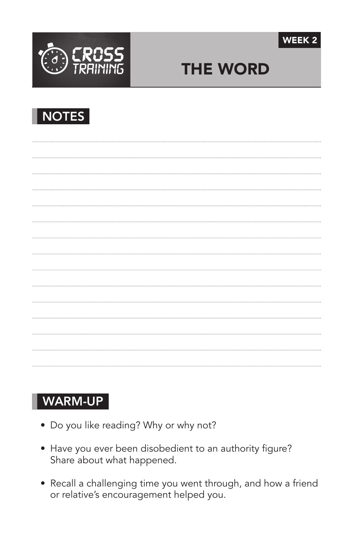



# THE WORD



### WARM-UP

- Do you like reading? Why or why not?
- Have you ever been disobedient to an authority figure? Share about what happened.
- Recall a challenging time you went through, and how a friend or relative's encouragement helped you.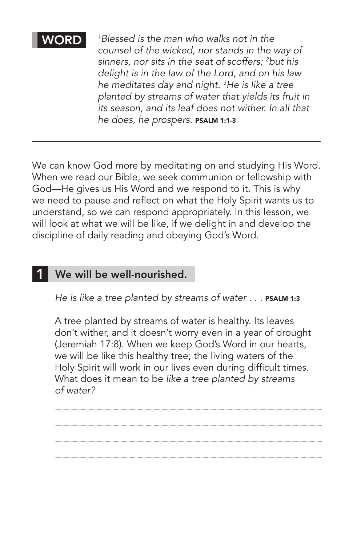#### WORD

*1 Blessed is the man who walks not in the counsel of the wicked, nor stands in the way of sinners, nor sits in the seat of scoffers; 2 but his delight is in the law of the Lord, and on his law he meditates day and night. 3 He is like a tree planted by streams of water that yields its fruit in its season, and its leaf does not wither. In all that he does, he prospers.* Psalm 1:1-3

We can know God more by meditating on and studying His Word. When we read our Bible, we seek communion or fellowship with God—He gives us His Word and we respond to it. This is why we need to pause and reflect on what the Holy Spirit wants us to understand, so we can respond appropriately. In this lesson, we will look at what we will be like, if we delight in and develop the discipline of daily reading and obeying God's Word.

#### We will be well-nourished. 1

He is like a tree planted by streams of water . . . PSALM 1:3

A tree planted by streams of water is healthy. Its leaves don't wither, and it doesn't worry even in a year of drought (Jeremiah 17:8). When we keep God's Word in our hearts, we will be like this healthy tree; the living waters of the Holy Spirit will work in our lives even during difficult times. What does it mean to be *like a tree planted by streams of water?* 

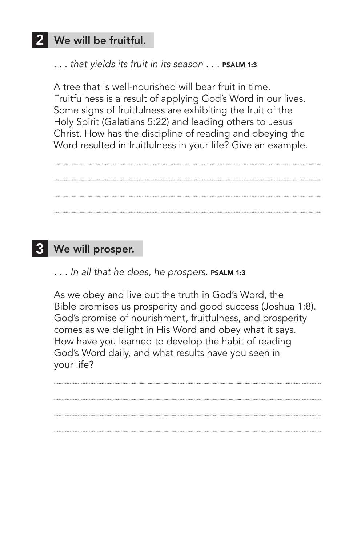## 2 We will be fruitful.

... that yields its fruit in its season ... **PSALM 1:3** 

A tree that is well-nourished will bear fruit in time. Fruitfulness is a result of applying God's Word in our lives. Some signs of fruitfulness are exhibiting the fruit of the Holy Spirit (Galatians 5:22) and leading others to Jesus Christ. How has the discipline of reading and obeying the Word resulted in fruitfulness in your life? Give an example.

# We will prosper. 3

```
. . . In all that he does, he prospers. Psalm 1:3
```
As we obey and live out the truth in God's Word, the Bible promises us prosperity and good success (Joshua 1:8). God's promise of nourishment, fruitfulness, and prosperity comes as we delight in His Word and obey what it says. How have you learned to develop the habit of reading God's Word daily, and what results have you seen in your life?